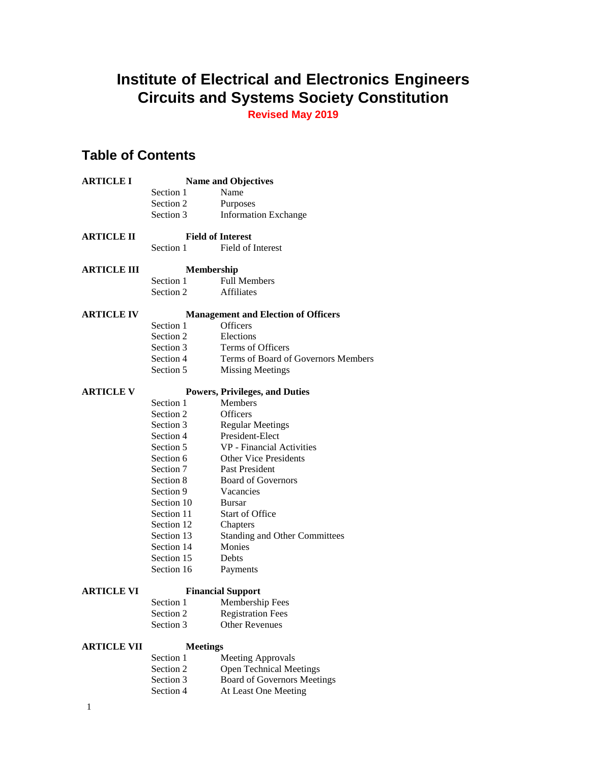# **Institute of Electrical and Electronics Engineers Circuits and Systems Society Constitution**

**Revised May 2019**

# **Table of Contents**

| <b>ARTICLE I</b>   |                          | <b>Name and Objectives</b>                 |  |
|--------------------|--------------------------|--------------------------------------------|--|
|                    | Section 1                | Name                                       |  |
|                    | Section 2                | Purposes                                   |  |
|                    | Section 3                | <b>Information Exchange</b>                |  |
| <b>ARTICLE II</b>  |                          | <b>Field of Interest</b>                   |  |
|                    | Section 1                | Field of Interest                          |  |
| <b>ARTICLE III</b> | Membership               |                                            |  |
|                    | Section 1                | <b>Full Members</b>                        |  |
|                    | Section 2                | <b>Affiliates</b>                          |  |
| <b>ARTICLE IV</b>  |                          | <b>Management and Election of Officers</b> |  |
|                    | Section 1                | <b>Officers</b>                            |  |
|                    | Section 2                | Elections                                  |  |
|                    | Section 3                | Terms of Officers                          |  |
|                    | Section 4                | Terms of Board of Governors Members        |  |
|                    | Section 5                | <b>Missing Meetings</b>                    |  |
| <b>ARTICLE V</b>   |                          | <b>Powers, Privileges, and Duties</b>      |  |
|                    | Section 1                | Members                                    |  |
|                    | Section 2                | Officers                                   |  |
|                    | Section 3                | <b>Regular Meetings</b>                    |  |
|                    | Section 4                | President-Elect                            |  |
|                    | Section 5                | VP - Financial Activities                  |  |
|                    | Section 6                | <b>Other Vice Presidents</b>               |  |
|                    | Section 7                | Past President                             |  |
|                    | Section 8                | <b>Board of Governors</b>                  |  |
|                    | Section 9                | Vacancies                                  |  |
|                    | Section 10               | Bursar                                     |  |
|                    | Section 11               | Start of Office                            |  |
|                    | Section 12               | Chapters                                   |  |
|                    | Section 13               | <b>Standing and Other Committees</b>       |  |
|                    | Section 14               | Monies                                     |  |
|                    | Section 15               | Debts                                      |  |
|                    | Section 16               | Payments                                   |  |
| <b>ARTICLE VI</b>  | <b>Financial Support</b> |                                            |  |
|                    | Section 1                | Membership Fees                            |  |
|                    | Section 2                | <b>Registration Fees</b>                   |  |
|                    | Section 3                | <b>Other Revenues</b>                      |  |
| <b>ARTICLE VII</b> | <b>Meetings</b>          |                                            |  |
|                    | Section 1                | <b>Meeting Approvals</b>                   |  |
|                    | Section 2                | <b>Open Technical Meetings</b>             |  |
|                    | Section 3                | <b>Board of Governors Meetings</b>         |  |
|                    | Section 4                | At Least One Meeting                       |  |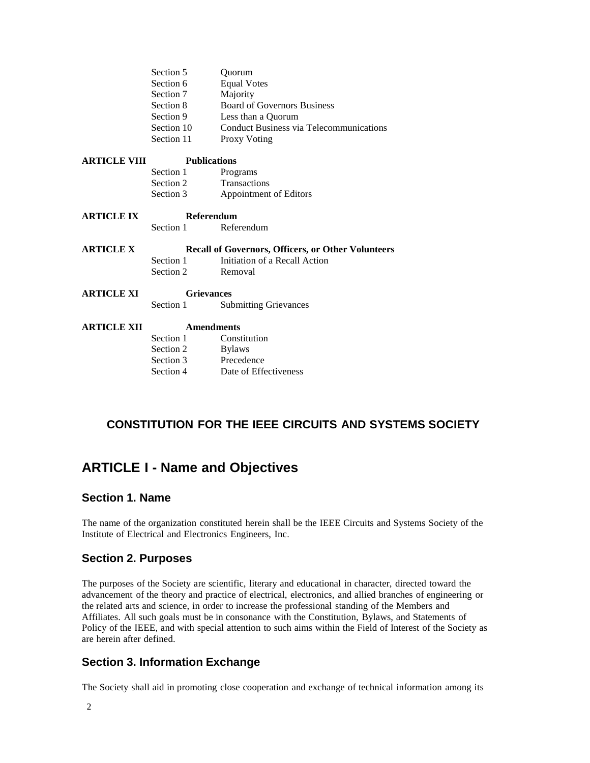|                     | Section 5                                                 | Ouorum                                         |  |
|---------------------|-----------------------------------------------------------|------------------------------------------------|--|
|                     | Section 6                                                 | <b>Equal Votes</b>                             |  |
|                     | Section 7                                                 | Majority                                       |  |
|                     | Section 8                                                 | <b>Board of Governors Business</b>             |  |
|                     | Section 9                                                 | Less than a Quorum                             |  |
|                     | Section 10                                                | <b>Conduct Business via Telecommunications</b> |  |
|                     | Section 11                                                | <b>Proxy Voting</b>                            |  |
| <b>ARTICLE VIII</b> | <b>Publications</b>                                       |                                                |  |
|                     | Section 1                                                 | Programs                                       |  |
|                     | Section 2                                                 | Transactions                                   |  |
|                     | Section 3                                                 | Appointment of Editors                         |  |
| <b>ARTICLE IX</b>   | Referendum                                                |                                                |  |
|                     | Section 1                                                 | Referendum                                     |  |
| <b>ARTICLE X</b>    | <b>Recall of Governors, Officers, or Other Volunteers</b> |                                                |  |
|                     | Section 1                                                 | Initiation of a Recall Action                  |  |
|                     | Section 2                                                 | Removal                                        |  |
| <b>ARTICLE XI</b>   | <b>Grievances</b>                                         |                                                |  |
|                     | Section 1                                                 | <b>Submitting Grievances</b>                   |  |
| <b>ARTICLE XII</b>  | <b>Amendments</b>                                         |                                                |  |
|                     | Section 1                                                 | Constitution                                   |  |
|                     | Section 2                                                 | <b>Bylaws</b>                                  |  |
|                     | Section 3                                                 | Precedence                                     |  |
|                     | Section 4                                                 | Date of Effectiveness                          |  |

### **CONSTITUTION FOR THE IEEE CIRCUITS AND SYSTEMS SOCIETY**

# **ARTICLE I - Name and Objectives**

### **Section 1. Name**

The name of the organization constituted herein shall be the IEEE Circuits and Systems Society of the Institute of Electrical and Electronics Engineers, Inc.

### **Section 2. Purposes**

The purposes of the Society are scientific, literary and educational in character, directed toward the advancement of the theory and practice of electrical, electronics, and allied branches of engineering or the related arts and science, in order to increase the professional standing of the Members and Affiliates. All such goals must be in consonance with the Constitution, Bylaws, and Statements of Policy of the IEEE, and with special attention to such aims within the Field of Interest of the Society as are herein after defined.

### **Section 3. Information Exchange**

The Society shall aid in promoting close cooperation and exchange of technical information among its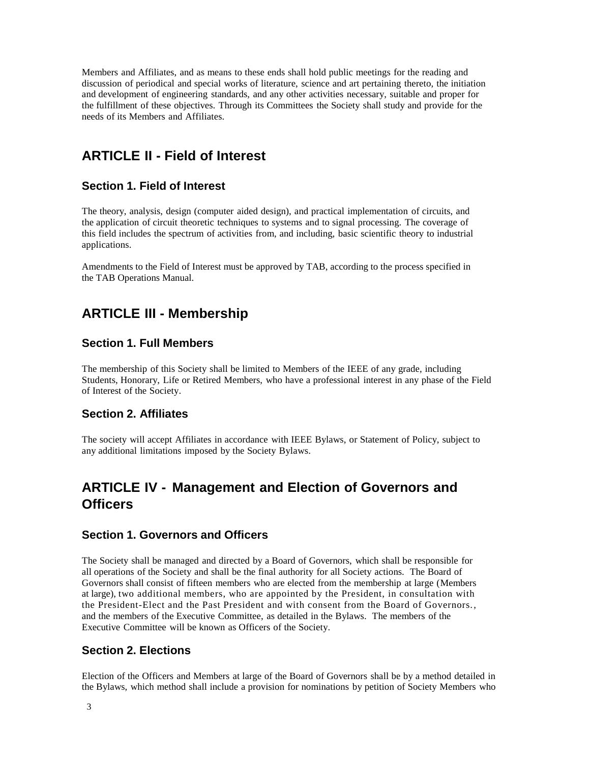Members and Affiliates, and as means to these ends shall hold public meetings for the reading and discussion of periodical and special works of literature, science and art pertaining thereto, the initiation and development of engineering standards, and any other activities necessary, suitable and proper for the fulfillment of these objectives. Through its Committees the Society shall study and provide for the needs of its Members and Affiliates.

# **ARTICLE II - Field of Interest**

### **Section 1. Field of Interest**

The theory, analysis, design (computer aided design), and practical implementation of circuits, and the application of circuit theoretic techniques to systems and to signal processing. The coverage of this field includes the spectrum of activities from, and including, basic scientific theory to industrial applications.

Amendments to the Field of Interest must be approved by TAB, according to the process specified in the TAB Operations Manual.

# **ARTICLE III - Membership**

#### **Section 1. Full Members**

The membership of this Society shall be limited to Members of the IEEE of any grade, including Students, Honorary, Life or Retired Members, who have a professional interest in any phase of the Field of Interest of the Society.

#### **Section 2. Affiliates**

The society will accept Affiliates in accordance with IEEE Bylaws, or Statement of Policy, subject to any additional limitations imposed by the Society Bylaws.

# **ARTICLE IV - Management and Election of Governors and Officers**

#### **Section 1. Governors and Officers**

The Society shall be managed and directed by a Board of Governors, which shall be responsible for all operations of the Society and shall be the final authority for all Society actions. The Board of Governors shall consist of fifteen members who are elected from the membership at large (Members at large), two additional members, who are appointed by the President, in consultation with the President-Elect and the Past President and with consent from the Board of Governors., and the members of the Executive Committee, as detailed in the Bylaws. The members of the Executive Committee will be known as Officers of the Society.

### **Section 2. Elections**

Election of the Officers and Members at large of the Board of Governors shall be by a method detailed in the Bylaws, which method shall include a provision for nominations by petition of Society Members who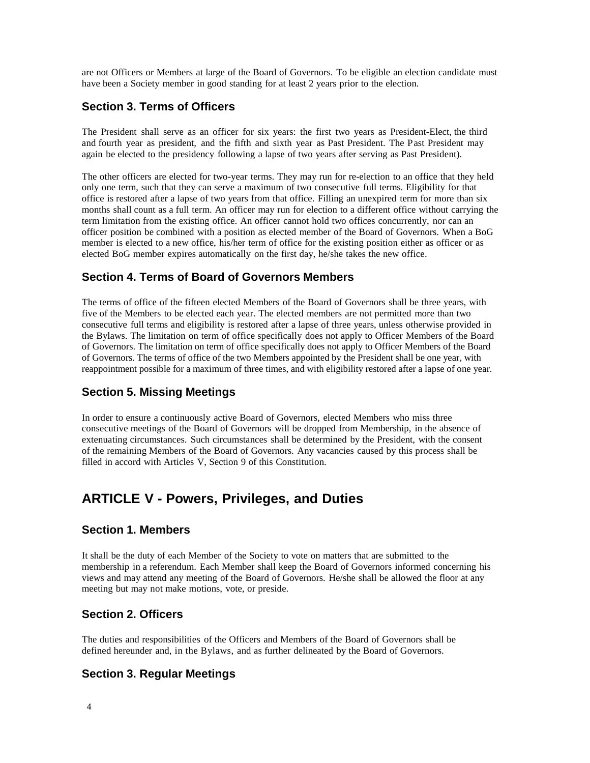are not Officers or Members at large of the Board of Governors. To be eligible an election candidate must have been a Society member in good standing for at least 2 years prior to the election.

### **Section 3. Terms of Officers**

The President shall serve as an officer for six years: the first two years as President-Elect, the third and fourth year as president, and the fifth and sixth year as Past President. The Past President may again be elected to the presidency following a lapse of two years after serving as Past President).

The other officers are elected for two-year terms. They may run for re-election to an office that they held only one term, such that they can serve a maximum of two consecutive full terms. Eligibility for that office is restored after a lapse of two years from that office. Filling an unexpired term for more than six months shall count as a full term. An officer may run for election to a different office without carrying the term limitation from the existing office. An officer cannot hold two offices concurrently, nor can an officer position be combined with a position as elected member of the Board of Governors. When a BoG member is elected to a new office, his/her term of office for the existing position either as officer or as elected BoG member expires automatically on the first day, he/she takes the new office.

### **Section 4. Terms of Board of Governors Members**

The terms of office of the fifteen elected Members of the Board of Governors shall be three years, with five of the Members to be elected each year. The elected members are not permitted more than two consecutive full terms and eligibility is restored after a lapse of three years, unless otherwise provided in the Bylaws. The limitation on term of office specifically does not apply to Officer Members of the Board of Governors. The limitation on term of office specifically does not apply to Officer Members of the Board of Governors. The terms of office of the two Members appointed by the President shall be one year, with reappointment possible for a maximum of three times, and with eligibility restored after a lapse of one year.

### **Section 5. Missing Meetings**

In order to ensure a continuously active Board of Governors, elected Members who miss three consecutive meetings of the Board of Governors will be dropped from Membership, in the absence of extenuating circumstances. Such circumstances shall be determined by the President, with the consent of the remaining Members of the Board of Governors. Any vacancies caused by this process shall be filled in accord with Articles V, Section 9 of this Constitution.

### **ARTICLE V - Powers, Privileges, and Duties**

#### **Section 1. Members**

It shall be the duty of each Member of the Society to vote on matters that are submitted to the membership in a referendum. Each Member shall keep the Board of Governors informed concerning his views and may attend any meeting of the Board of Governors. He/she shall be allowed the floor at any meeting but may not make motions, vote, or preside.

### **Section 2. Officers**

The duties and responsibilities of the Officers and Members of the Board of Governors shall be defined hereunder and, in the Bylaws, and as further delineated by the Board of Governors.

### **Section 3. Regular Meetings**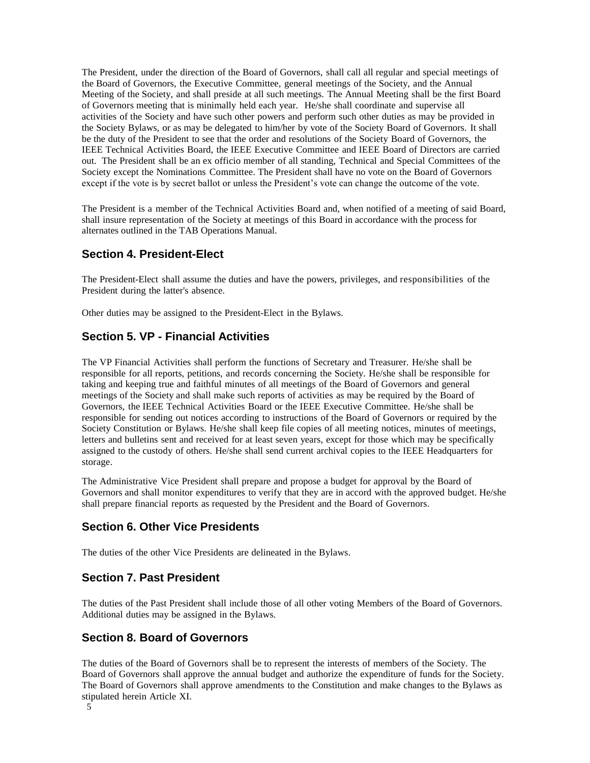The President, under the direction of the Board of Governors, shall call all regular and special meetings of the Board of Governors, the Executive Committee, general meetings of the Society, and the Annual Meeting of the Society, and shall preside at all such meetings. The Annual Meeting shall be the first Board of Governors meeting that is minimally held each year. He/she shall coordinate and supervise all activities of the Society and have such other powers and perform such other duties as may be provided in the Society Bylaws, or as may be delegated to him/her by vote of the Society Board of Governors. It shall be the duty of the President to see that the order and resolutions of the Society Board of Governors, the IEEE Technical Activities Board, the IEEE Executive Committee and IEEE Board of Directors are carried out. The President shall be an ex officio member of all standing, Technical and Special Committees of the Society except the Nominations Committee. The President shall have no vote on the Board of Governors except if the vote is by secret ballot or unless the President's vote can change the outcome of the vote.

The President is a member of the Technical Activities Board and, when notified of a meeting of said Board, shall insure representation of the Society at meetings of this Board in accordance with the process for alternates outlined in the TAB Operations Manual.

### **Section 4. President-Elect**

The President-Elect shall assume the duties and have the powers, privileges, and responsibilities of the President during the latter's absence.

Other duties may be assigned to the President-Elect in the Bylaws.

### **Section 5. VP - Financial Activities**

The VP Financial Activities shall perform the functions of Secretary and Treasurer. He/she shall be responsible for all reports, petitions, and records concerning the Society. He/she shall be responsible for taking and keeping true and faithful minutes of all meetings of the Board of Governors and general meetings of the Society and shall make such reports of activities as may be required by the Board of Governors, the IEEE Technical Activities Board or the IEEE Executive Committee. He/she shall be responsible for sending out notices according to instructions of the Board of Governors or required by the Society Constitution or Bylaws. He/she shall keep file copies of all meeting notices, minutes of meetings, letters and bulletins sent and received for at least seven years, except for those which may be specifically assigned to the custody of others. He/she shall send current archival copies to the IEEE Headquarters for storage.

The Administrative Vice President shall prepare and propose a budget for approval by the Board of Governors and shall monitor expenditures to verify that they are in accord with the approved budget. He/she shall prepare financial reports as requested by the President and the Board of Governors.

### **Section 6. Other Vice Presidents**

The duties of the other Vice Presidents are delineated in the Bylaws.

### **Section 7. Past President**

The duties of the Past President shall include those of all other voting Members of the Board of Governors. Additional duties may be assigned in the Bylaws.

### **Section 8. Board of Governors**

The duties of the Board of Governors shall be to represent the interests of members of the Society. The Board of Governors shall approve the annual budget and authorize the expenditure of funds for the Society. The Board of Governors shall approve amendments to the Constitution and make changes to the Bylaws as stipulated herein Article XI.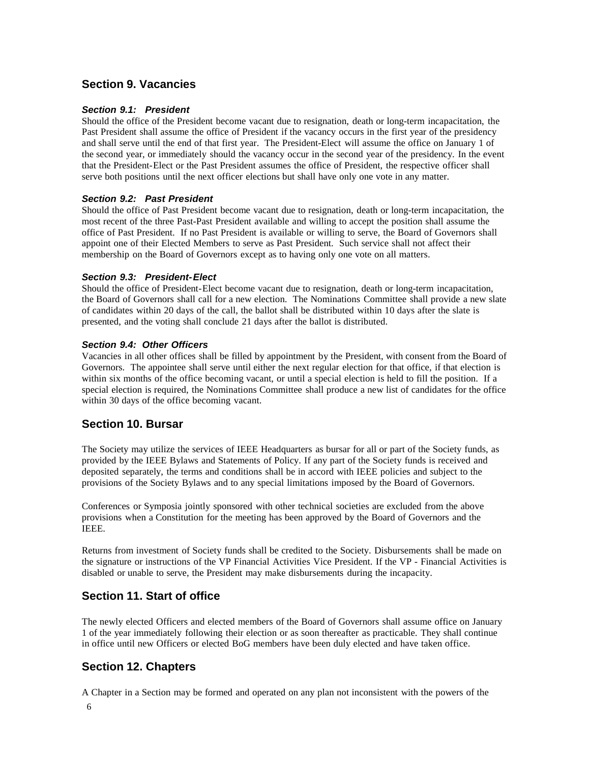### **Section 9. Vacancies**

#### *Section 9.1: President*

Should the office of the President become vacant due to resignation, death or long-term incapacitation, the Past President shall assume the office of President if the vacancy occurs in the first year of the presidency and shall serve until the end of that first year. The President-Elect will assume the office on January 1 of the second year, or immediately should the vacancy occur in the second year of the presidency. In the event that the President-Elect or the Past President assumes the office of President, the respective officer shall serve both positions until the next officer elections but shall have only one vote in any matter.

#### *Section 9.2: Past President*

Should the office of Past President become vacant due to resignation, death or long-term incapacitation, the most recent of the three Past-Past President available and willing to accept the position shall assume the office of Past President. If no Past President is available or willing to serve, the Board of Governors shall appoint one of their Elected Members to serve as Past President. Such service shall not affect their membership on the Board of Governors except as to having only one vote on all matters.

#### *Section 9.3: President-Elect*

Should the office of President-Elect become vacant due to resignation, death or long-term incapacitation, the Board of Governors shall call for a new election. The Nominations Committee shall provide a new slate of candidates within 20 days of the call, the ballot shall be distributed within 10 days after the slate is presented, and the voting shall conclude 21 days after the ballot is distributed.

#### *Section 9.4: Other Officers*

Vacancies in all other offices shall be filled by appointment by the President, with consent from the Board of Governors. The appointee shall serve until either the next regular election for that office, if that election is within six months of the office becoming vacant, or until a special election is held to fill the position. If a special election is required, the Nominations Committee shall produce a new list of candidates for the office within 30 days of the office becoming vacant.

### **Section 10. Bursar**

The Society may utilize the services of IEEE Headquarters as bursar for all or part of the Society funds, as provided by the IEEE Bylaws and Statements of Policy. If any part of the Society funds is received and deposited separately, the terms and conditions shall be in accord with IEEE policies and subject to the provisions of the Society Bylaws and to any special limitations imposed by the Board of Governors.

Conferences or Symposia jointly sponsored with other technical societies are excluded from the above provisions when a Constitution for the meeting has been approved by the Board of Governors and the IEEE.

Returns from investment of Society funds shall be credited to the Society. Disbursements shall be made on the signature or instructions of the VP Financial Activities Vice President. If the VP - Financial Activities is disabled or unable to serve, the President may make disbursements during the incapacity.

### **Section 11. Start of office**

The newly elected Officers and elected members of the Board of Governors shall assume office on January 1 of the year immediately following their election or as soon thereafter as practicable. They shall continue in office until new Officers or elected BoG members have been duly elected and have taken office.

### **Section 12. Chapters**

A Chapter in a Section may be formed and operated on any plan not inconsistent with the powers of the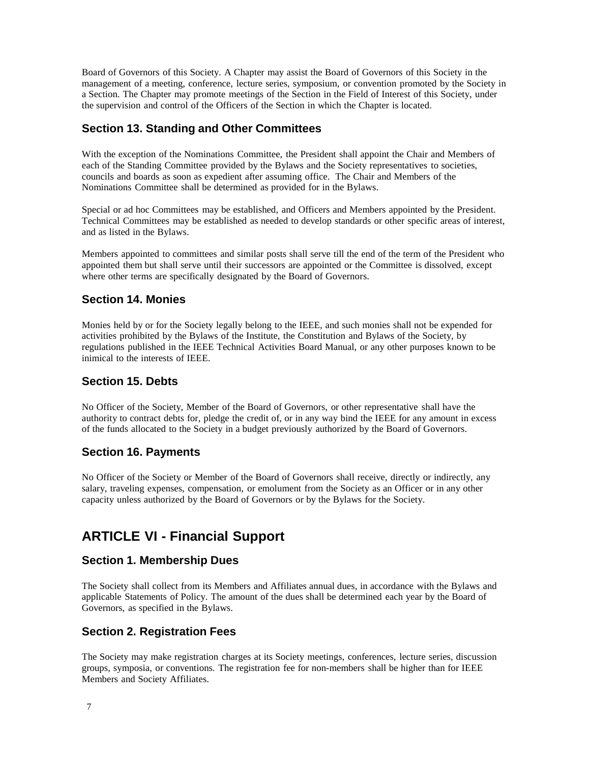Board of Governors of this Society. A Chapter may assist the Board of Governors of this Society in the management of a meeting, conference, lecture series, symposium, or convention promoted by the Society in a Section. The Chapter may promote meetings of the Section in the Field of Interest of this Society, under the supervision and control of the Officers of the Section in which the Chapter is located.

### **Section 13. Standing and Other Committees**

With the exception of the Nominations Committee, the President shall appoint the Chair and Members of each of the Standing Committee provided by the Bylaws and the Society representatives to societies, councils and boards as soon as expedient after assuming office. The Chair and Members of the Nominations Committee shall be determined as provided for in the Bylaws.

Special or ad hoc Committees may be established, and Officers and Members appointed by the President. Technical Committees may be established as needed to develop standards or other specific areas of interest, and as listed in the Bylaws.

Members appointed to committees and similar posts shall serve till the end of the term of the President who appointed them but shall serve until their successors are appointed or the Committee is dissolved, except where other terms are specifically designated by the Board of Governors.

### **Section 14. Monies**

Monies held by or for the Society legally belong to the IEEE, and such monies shall not be expended for activities prohibited by the Bylaws of the Institute, the Constitution and Bylaws of the Society, by regulations published in the IEEE Technical Activities Board Manual, or any other purposes known to be inimical to the interests of IEEE.

### **Section 15. Debts**

No Officer of the Society, Member of the Board of Governors, or other representative shall have the authority to contract debts for, pledge the credit of, or in any way bind the IEEE for any amount in excess of the funds allocated to the Society in a budget previously authorized by the Board of Governors.

### **Section 16. Payments**

No Officer of the Society or Member of the Board of Governors shall receive, directly or indirectly, any salary, traveling expenses, compensation, or emolument from the Society as an Officer or in any other capacity unless authorized by the Board of Governors or by the Bylaws for the Society.

# **ARTICLE VI - Financial Support**

### **Section 1. Membership Dues**

The Society shall collect from its Members and Affiliates annual dues, in accordance with the Bylaws and applicable Statements of Policy. The amount of the dues shall be determined each year by the Board of Governors, as specified in the Bylaws.

### **Section 2. Registration Fees**

The Society may make registration charges at its Society meetings, conferences, lecture series, discussion groups, symposia, or conventions. The registration fee for non-members shall be higher than for IEEE Members and Society Affiliates.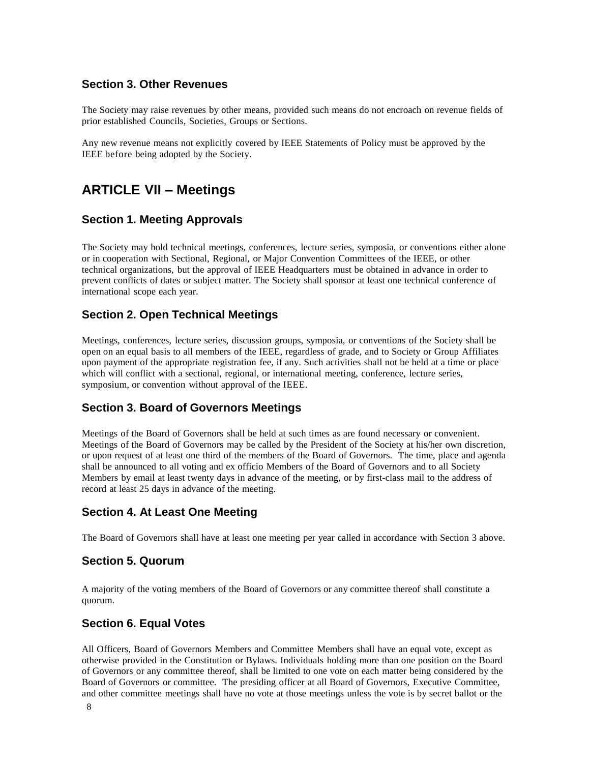### **Section 3. Other Revenues**

The Society may raise revenues by other means, provided such means do not encroach on revenue fields of prior established Councils, Societies, Groups or Sections.

Any new revenue means not explicitly covered by IEEE Statements of Policy must be approved by the IEEE before being adopted by the Society.

## **ARTICLE VII – Meetings**

#### **Section 1. Meeting Approvals**

The Society may hold technical meetings, conferences, lecture series, symposia, or conventions either alone or in cooperation with Sectional, Regional, or Major Convention Committees of the IEEE, or other technical organizations, but the approval of IEEE Headquarters must be obtained in advance in order to prevent conflicts of dates or subject matter. The Society shall sponsor at least one technical conference of international scope each year.

#### **Section 2. Open Technical Meetings**

Meetings, conferences, lecture series, discussion groups, symposia, or conventions of the Society shall be open on an equal basis to all members of the IEEE, regardless of grade, and to Society or Group Affiliates upon payment of the appropriate registration fee, if any. Such activities shall not be held at a time or place which will conflict with a sectional, regional, or international meeting, conference, lecture series, symposium, or convention without approval of the IEEE.

#### **Section 3. Board of Governors Meetings**

Meetings of the Board of Governors shall be held at such times as are found necessary or convenient. Meetings of the Board of Governors may be called by the President of the Society at his/her own discretion, or upon request of at least one third of the members of the Board of Governors. The time, place and agenda shall be announced to all voting and ex officio Members of the Board of Governors and to all Society Members by email at least twenty days in advance of the meeting, or by first-class mail to the address of record at least 25 days in advance of the meeting.

#### **Section 4. At Least One Meeting**

The Board of Governors shall have at least one meeting per year called in accordance with Section 3 above.

#### **Section 5. Quorum**

A majority of the voting members of the Board of Governors or any committee thereof shall constitute a quorum.

#### **Section 6. Equal Votes**

All Officers, Board of Governors Members and Committee Members shall have an equal vote, except as otherwise provided in the Constitution or Bylaws. Individuals holding more than one position on the Board of Governors or any committee thereof, shall be limited to one vote on each matter being considered by the Board of Governors or committee. The presiding officer at all Board of Governors, Executive Committee, and other committee meetings shall have no vote at those meetings unless the vote is by secret ballot or the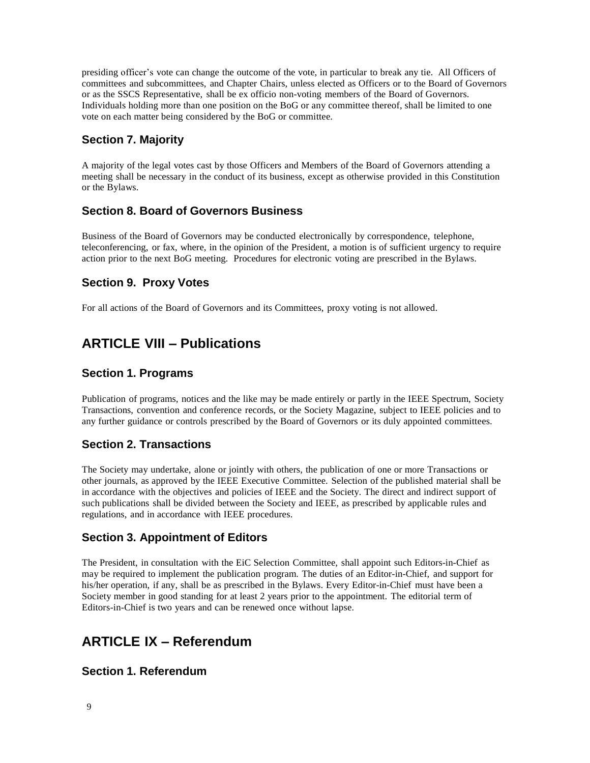presiding officer's vote can change the outcome of the vote, in particular to break any tie. All Officers of committees and subcommittees, and Chapter Chairs, unless elected as Officers or to the Board of Governors or as the SSCS Representative, shall be ex officio non-voting members of the Board of Governors. Individuals holding more than one position on the BoG or any committee thereof, shall be limited to one vote on each matter being considered by the BoG or committee.

### **Section 7. Majority**

A majority of the legal votes cast by those Officers and Members of the Board of Governors attending a meeting shall be necessary in the conduct of its business, except as otherwise provided in this Constitution or the Bylaws.

### **Section 8. Board of Governors Business**

Business of the Board of Governors may be conducted electronically by correspondence, telephone, teleconferencing, or fax, where, in the opinion of the President, a motion is of sufficient urgency to require action prior to the next BoG meeting. Procedures for electronic voting are prescribed in the Bylaws.

### **Section 9. Proxy Votes**

For all actions of the Board of Governors and its Committees, proxy voting is not allowed.

# **ARTICLE VIII – Publications**

### **Section 1. Programs**

Publication of programs, notices and the like may be made entirely or partly in the IEEE Spectrum, Society Transactions, convention and conference records, or the Society Magazine, subject to IEEE policies and to any further guidance or controls prescribed by the Board of Governors or its duly appointed committees.

### **Section 2. Transactions**

The Society may undertake, alone or jointly with others, the publication of one or more Transactions or other journals, as approved by the IEEE Executive Committee. Selection of the published material shall be in accordance with the objectives and policies of IEEE and the Society. The direct and indirect support of such publications shall be divided between the Society and IEEE, as prescribed by applicable rules and regulations, and in accordance with IEEE procedures.

### **Section 3. Appointment of Editors**

The President, in consultation with the EiC Selection Committee, shall appoint such Editors-in-Chief as may be required to implement the publication program. The duties of an Editor-in-Chief, and support for his/her operation, if any, shall be as prescribed in the Bylaws. Every Editor-in-Chief must have been a Society member in good standing for at least 2 years prior to the appointment. The editorial term of Editors-in-Chief is two years and can be renewed once without lapse.

# **ARTICLE IX – Referendum**

### **Section 1. Referendum**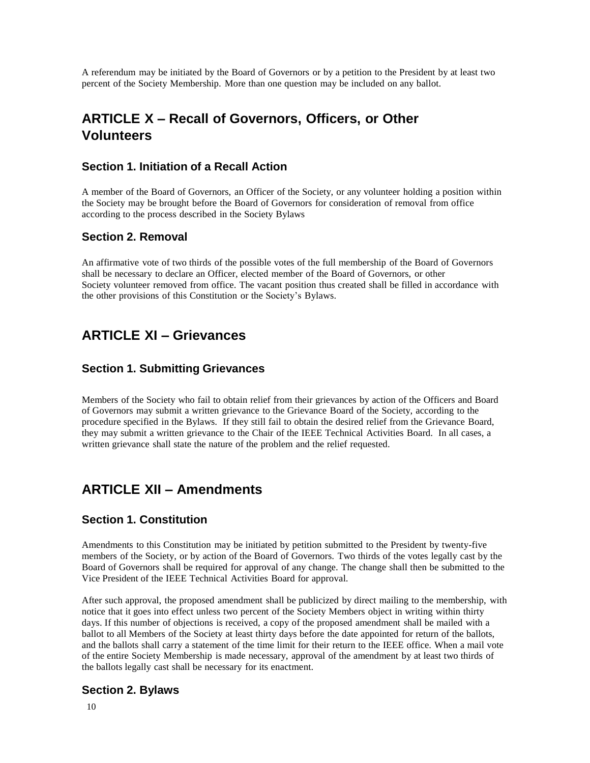A referendum may be initiated by the Board of Governors or by a petition to the President by at least two percent of the Society Membership. More than one question may be included on any ballot.

# **ARTICLE X – Recall of Governors, Officers, or Other Volunteers**

#### **Section 1. Initiation of a Recall Action**

A member of the Board of Governors, an Officer of the Society, or any volunteer holding a position within the Society may be brought before the Board of Governors for consideration of removal from office according to the process described in the Society Bylaws

#### **Section 2. Removal**

An affirmative vote of two thirds of the possible votes of the full membership of the Board of Governors shall be necessary to declare an Officer, elected member of the Board of Governors, or other Society volunteer removed from office. The vacant position thus created shall be filled in accordance with the other provisions of this Constitution or the Society's Bylaws.

## **ARTICLE XI – Grievances**

### **Section 1. Submitting Grievances**

Members of the Society who fail to obtain relief from their grievances by action of the Officers and Board of Governors may submit a written grievance to the Grievance Board of the Society, according to the procedure specified in the Bylaws. If they still fail to obtain the desired relief from the Grievance Board, they may submit a written grievance to the Chair of the IEEE Technical Activities Board. In all cases, a written grievance shall state the nature of the problem and the relief requested.

### **ARTICLE XII – Amendments**

#### **Section 1. Constitution**

Amendments to this Constitution may be initiated by petition submitted to the President by twenty-five members of the Society, or by action of the Board of Governors. Two thirds of the votes legally cast by the Board of Governors shall be required for approval of any change. The change shall then be submitted to the Vice President of the IEEE Technical Activities Board for approval.

After such approval, the proposed amendment shall be publicized by direct mailing to the membership, with notice that it goes into effect unless two percent of the Society Members object in writing within thirty days. If this number of objections is received, a copy of the proposed amendment shall be mailed with a ballot to all Members of the Society at least thirty days before the date appointed for return of the ballots, and the ballots shall carry a statement of the time limit for their return to the IEEE office. When a mail vote of the entire Society Membership is made necessary, approval of the amendment by at least two thirds of the ballots legally cast shall be necessary for its enactment.

### **Section 2. Bylaws**